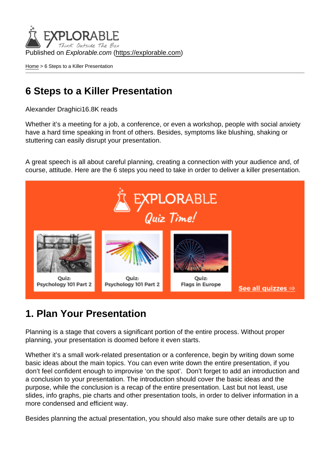Published on Explorable.com (<https://explorable.com>)

[Home](https://explorable.com/) > 6 Steps to a Killer Presentation

#### 6 Steps to a Killer Presentation

Alexander Draghici16.8K reads

Whether it's a meeting for a job, a conference, or even a workshop, people with social anxiety have a hard time speaking in front of others. Besides, symptoms like blushing, shaking or stuttering can easily disrupt your presentation.

A great speech is all about careful planning, creating a connection with your audience and, of course, attitude. Here are the 6 steps you need to take in order to deliver a killer presentation.

#### 1. Plan Your Presentation

Planning is a stage that covers a significant portion of the entire process. Without proper planning, your presentation is doomed before it even starts.

Whether it's a small work-related presentation or a conference, begin by writing down some basic ideas about the main topics. You can even write down the entire presentation, if you don't feel confident enough to improvise 'on the spot'. Don't forget to add an introduction and a conclusion to your presentation. The introduction should cover the basic ideas and the purpose, while the conclusion is a recap of the entire presentation. Last but not least, use slides, info graphs, pie charts and other presentation tools, in order to deliver information in a more condensed and efficient way.

Besides planning the actual presentation, you should also make sure other details are up to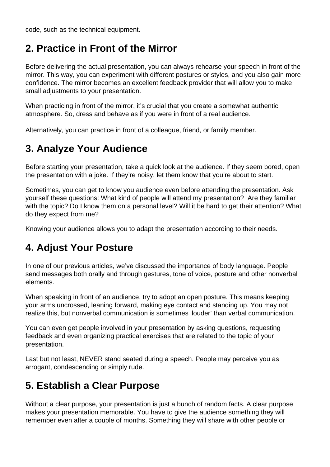code, such as the technical equipment.

### **2. Practice in Front of the Mirror**

Before delivering the actual presentation, you can always rehearse your speech in front of the mirror. This way, you can experiment with different postures or styles, and you also gain more confidence. The mirror becomes an excellent feedback provider that will allow you to make small adjustments to your presentation.

When practicing in front of the mirror, it's crucial that you create a somewhat authentic atmosphere. So, dress and behave as if you were in front of a real audience.

Alternatively, you can practice in front of a colleague, friend, or family member.

# **3. Analyze Your Audience**

Before starting your presentation, take a quick look at the audience. If they seem bored, open the presentation with a joke. If they're noisy, let them know that you're about to start.

Sometimes, you can get to know you audience even before attending the presentation. Ask yourself these questions: What kind of people will attend my presentation? Are they familiar with the topic? Do I know them on a personal level? Will it be hard to get their attention? What do they expect from me?

Knowing your audience allows you to adapt the presentation according to their needs.

# **4. Adjust Your Posture**

In one of our previous articles, we've discussed the importance of body language. People send messages both orally and through gestures, tone of voice, posture and other nonverbal elements.

When speaking in front of an audience, try to adopt an open posture. This means keeping your arms uncrossed, leaning forward, making eye contact and standing up. You may not realize this, but nonverbal communication is sometimes 'louder' than verbal communication.

You can even get people involved in your presentation by asking questions, requesting feedback and even organizing practical exercises that are related to the topic of your presentation.

Last but not least, NEVER stand seated during a speech. People may perceive you as arrogant, condescending or simply rude.

# **5. Establish a Clear Purpose**

Without a clear purpose, your presentation is just a bunch of random facts. A clear purpose makes your presentation memorable. You have to give the audience something they will remember even after a couple of months. Something they will share with other people or